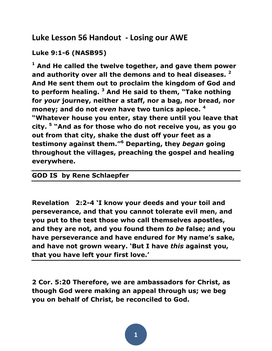# **Luke Lesson 56 Handout - Losing our AWE**

## **Luke 9:1-6 (NASB95)**

**<sup>1</sup> And He called the twelve together, and gave them power and authority over all the demons and to heal diseases. <sup>2</sup> And He sent them out to proclaim the kingdom of God and to perform healing. <sup>3</sup> And He said to them, "Take nothing for** *your* **journey, neither a staff, nor a bag, nor bread, nor money; and do not** *even* **have two tunics apiece. <sup>4</sup> "Whatever house you enter, stay there until you leave that city. <sup>5</sup> "And as for those who do not receive you, as you go out from that city, shake the dust off your feet as a testimony against them."<sup>6</sup> Departing, they** *began* **going throughout the villages, preaching the gospel and healing everywhere.**

### **GOD IS by Rene Schlaepfer**

**Revelation 2:2-4 'I know your deeds and your toil and perseverance, and that you cannot tolerate evil men, and you put to the test those who call themselves apostles, and they are not, and you found them** *to be* **false; and you have perseverance and have endured for My name's sake, and have not grown weary. 'But I have** *this* **against you, that you have left your first love.'**

**2 Cor. 5:20 Therefore, we are ambassadors for Christ, as though God were making an appeal through us; we beg you on behalf of Christ, be reconciled to God.**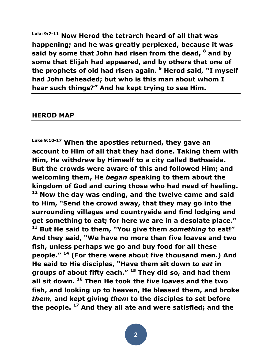**Luke 9:7-11 Now Herod the tetrarch heard of all that was happening; and he was greatly perplexed, because it was said by some that John had risen from the dead, <sup>8</sup> and by some that Elijah had appeared, and by others that one of the prophets of old had risen again. <sup>9</sup> Herod said, "I myself had John beheaded; but who is this man about whom I hear such things?" And he kept trying to see Him.**

#### **HEROD MAP**

**Luke 9:10-17 When the apostles returned, they gave an account to Him of all that they had done. Taking them with Him, He withdrew by Himself to a city called Bethsaida. But the crowds were aware of this and followed Him; and welcoming them, He** *began* **speaking to them about the kingdom of God and curing those who had need of healing. <sup>12</sup> Now the day was ending, and the twelve came and said to Him, "Send the crowd away, that they may go into the surrounding villages and countryside and find lodging and get something to eat; for here we are in a desolate place." <sup>13</sup> But He said to them, "You give them** *something* **to eat!" And they said, "We have no more than five loaves and two fish, unless perhaps we go and buy food for all these people." <sup>14</sup> (For there were about five thousand men.) And He said to His disciples, "Have them sit down** *to eat* **in groups of about fifty each." <sup>15</sup> They did so, and had them all sit down. <sup>16</sup> Then He took the five loaves and the two fish, and looking up to heaven, He blessed them, and broke**  *them,* **and kept giving** *them* **to the disciples to set before the people. <sup>17</sup> And they all ate and were satisfied; and the**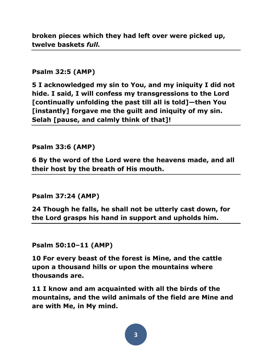**broken pieces which they had left over were picked up, twelve baskets** *full.*

### **Psalm 32:5 (AMP)**

**5 I acknowledged my sin to You, and my iniquity I did not hide. I said, I will confess my transgressions to the Lord [continually unfolding the past till all is told]—then You [instantly] forgave me the guilt and iniquity of my sin. Selah [pause, and calmly think of that]!** 

### **Psalm 33:6 (AMP)**

**6 By the word of the Lord were the heavens made, and all their host by the breath of His mouth.** 

**Psalm 37:24 (AMP)**

**24 Though he falls, he shall not be utterly cast down, for the Lord grasps his hand in support and upholds him.** 

**Psalm 50:10–11 (AMP)**

**10 For every beast of the forest is Mine, and the cattle upon a thousand hills or upon the mountains where thousands are.** 

**11 I know and am acquainted with all the birds of the mountains, and the wild animals of the field are Mine and are with Me, in My mind.**